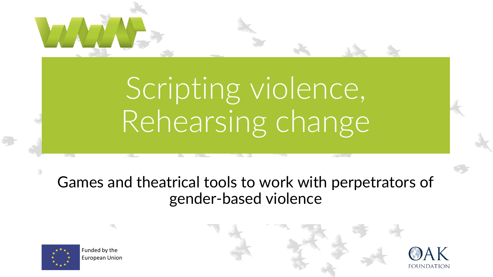# Scripting violence, Rehearsing change

#### Games and theatrical tools to work with perpetrators of gender-based violence



Funded by the European Union

W.

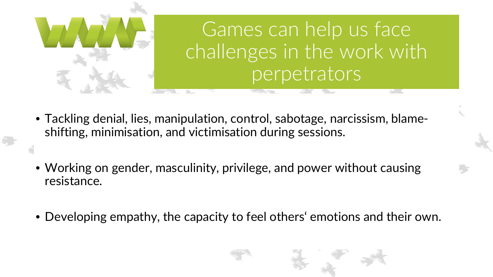

Games can help us face challenges in the work with perpetrators

- Tackling denial, lies, manipulation, control, sabotage, narcissism, blameshifting, minimisation, and victimisation during sessions.
- Working on gender, masculinity, privilege, and power without causing resistance.
- Developing empathy, the capacity to feel others' emotions and their own.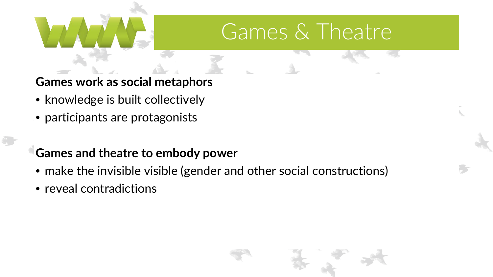#### Games & Theatre

**Games work as social metaphors**

- knowledge is built collectively
- participants are protagonists

#### **Games and theatre to embody power**

- make the invisible visible (gender and other social constructions)
- reveal contradictions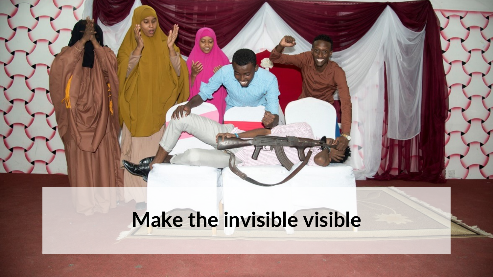### **Make the invisible visible**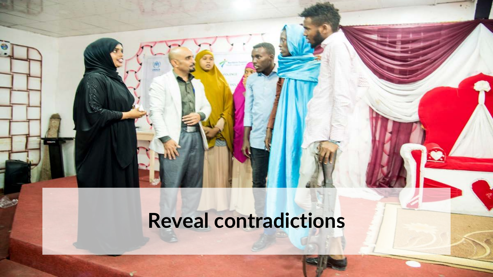### **Reveal contradictions**

European Union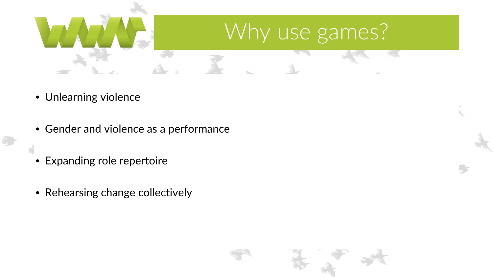

- Unlearning violence
- Gender and violence as a performance
- Expanding role repertoire
- Rehearsing change collectively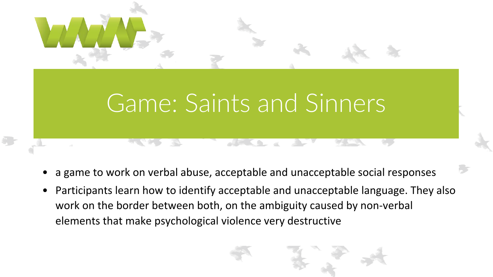## Game: Saints and Sinners

- a game to work on verbal abuse, acceptable and unacceptable social responses
- Participants learn how to identify acceptable and unacceptable language. They also work on the border between both, on the ambiguity caused by non-verbal elements that make psychological violence very destructive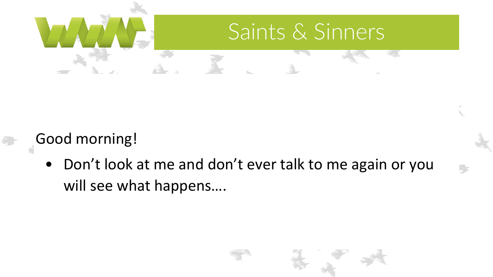

#### Good morning!

• Don't look at me and don't ever talk to me again or you will see what happens….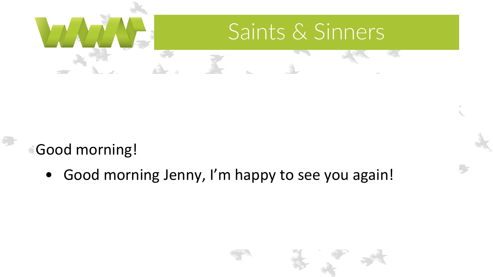

Good morning!

• Good morning Jenny, I'm happy to see you again!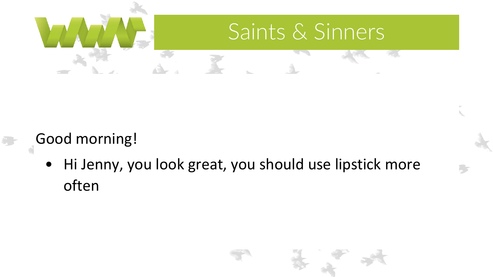

#### Good morning!

• Hi Jenny, you look great, you should use lipstick more often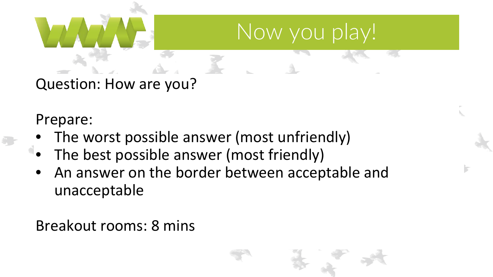

Question: How are you?

Prepare:

- The worst possible answer (most unfriendly)
- The best possible answer (most friendly)
- An answer on the border between acceptable and unacceptable answer (most unfriendly)

Breakout rooms: 8 mins